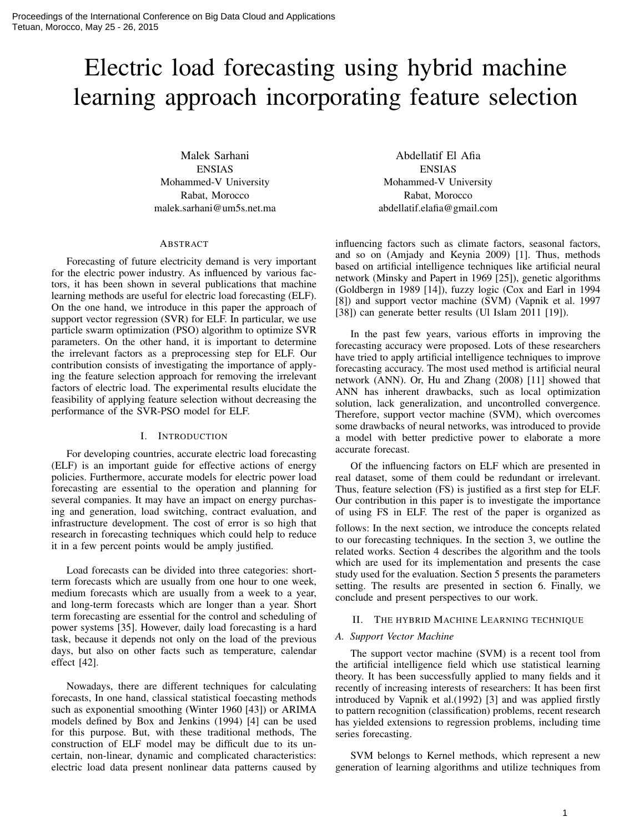# Electric load forecasting using hybrid machine learning approach incorporating feature selection

Malek Sarhani ENSIAS Mohammed-V University Rabat, Morocco malek.sarhani@um5s.net.ma

### ABSTRACT

Forecasting of future electricity demand is very important for the electric power industry. As influenced by various factors, it has been shown in several publications that machine learning methods are useful for electric load forecasting (ELF). On the one hand, we introduce in this paper the approach of support vector regression (SVR) for ELF. In particular, we use particle swarm optimization (PSO) algorithm to optimize SVR parameters. On the other hand, it is important to determine the irrelevant factors as a preprocessing step for ELF. Our contribution consists of investigating the importance of applying the feature selection approach for removing the irrelevant factors of electric load. The experimental results elucidate the feasibility of applying feature selection without decreasing the performance of the SVR-PSO model for ELF.

# I. INTRODUCTION

For developing countries, accurate electric load forecasting (ELF) is an important guide for effective actions of energy policies. Furthermore, accurate models for electric power load forecasting are essential to the operation and planning for several companies. It may have an impact on energy purchasing and generation, load switching, contract evaluation, and infrastructure development. The cost of error is so high that research in forecasting techniques which could help to reduce it in a few percent points would be amply justified.

Load forecasts can be divided into three categories: shortterm forecasts which are usually from one hour to one week, medium forecasts which are usually from a week to a year, and long-term forecasts which are longer than a year. Short term forecasting are essential for the control and scheduling of power systems [35]. However, daily load forecasting is a hard task, because it depends not only on the load of the previous days, but also on other facts such as temperature, calendar effect [42].

Nowadays, there are different techniques for calculating forecasts, In one hand, classical statistical foecasting methods such as exponential smoothing (Winter 1960 [43]) or ARIMA models defined by Box and Jenkins (1994) [4] can be used for this purpose. But, with these traditional methods, The construction of ELF model may be difficult due to its uncertain, non-linear, dynamic and complicated characteristics: electric load data present nonlinear data patterns caused by

Abdellatif El Afia ENSIAS Mohammed-V University Rabat, Morocco abdellatif.elafia@gmail.com

influencing factors such as climate factors, seasonal factors, and so on (Amjady and Keynia 2009) [1]. Thus, methods based on artificial intelligence techniques like artificial neural network (Minsky and Papert in 1969 [25]), genetic algorithms (Goldbergn in 1989 [14]), fuzzy logic (Cox and Earl in 1994 [8]) and support vector machine (SVM) (Vapnik et al. 1997 [38]) can generate better results (Ul Islam 2011 [19]).

In the past few years, various efforts in improving the forecasting accuracy were proposed. Lots of these researchers have tried to apply artificial intelligence techniques to improve forecasting accuracy. The most used method is artificial neural network (ANN). Or, Hu and Zhang (2008) [11] showed that ANN has inherent drawbacks, such as local optimization solution, lack generalization, and uncontrolled convergence. Therefore, support vector machine (SVM), which overcomes some drawbacks of neural networks, was introduced to provide a model with better predictive power to elaborate a more accurate forecast.

Of the influencing factors on ELF which are presented in real dataset, some of them could be redundant or irrelevant. Thus, feature selection (FS) is justified as a first step for ELF. Our contribution in this paper is to investigate the importance of using FS in ELF. The rest of the paper is organized as

follows: In the next section, we introduce the concepts related to our forecasting techniques. In the section 3, we outline the related works. Section 4 describes the algorithm and the tools which are used for its implementation and presents the case study used for the evaluation. Section 5 presents the parameters setting. The results are presented in section 6. Finally, we conclude and present perspectives to our work.

## II. THE HYBRID MACHINE LEARNING TECHNIQUE

## *A. Support Vector Machine*

The support vector machine (SVM) is a recent tool from the artificial intelligence field which use statistical learning theory. It has been successfully applied to many fields and it recently of increasing interests of researchers: It has been first introduced by Vapnik et al.(1992) [3] and was applied firstly to pattern recognition (classification) problems, recent research has yielded extensions to regression problems, including time series forecasting.

SVM belongs to Kernel methods, which represent a new generation of learning algorithms and utilize techniques from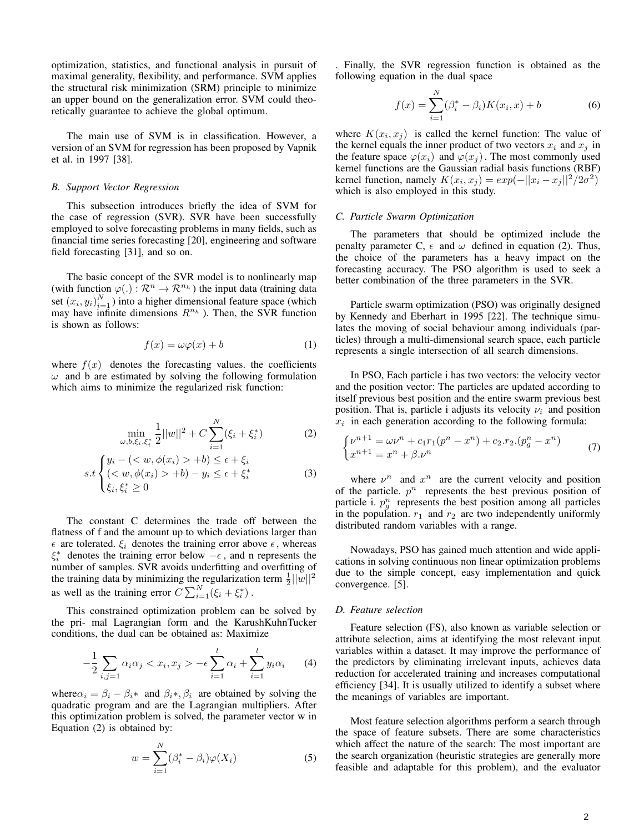optimization, statistics, and functional analysis in pursuit of maximal generality, flexibility, and performance. SVM applies the structural risk minimization (SRM) principle to minimize an upper bound on the generalization error. SVM could theoretically guarantee to achieve the global optimum.

The main use of SVM is in classification. However, a version of an SVM for regression has been proposed by Vapnik et al. in 1997 [38].

# *B. Support Vector Regression*

This subsection introduces briefly the idea of SVM for the case of regression (SVR). SVR have been successfully employed to solve forecasting problems in many fields, such as financial time series forecasting [20], engineering and software field forecasting [31], and so on.

The basic concept of the SVR model is to nonlinearly map (with function  $\varphi(.) : \mathcal{R}^n \to \mathcal{R}^{n_h}$ ) the input data (training data set  $(x_i, y_i)_{i=1}^N$ ) into a higher dimensional feature space (which may have infinite dimensions  $R^{n_h}$ ). Then, the SVR function is shown as follows:

$$
f(x) = \omega \varphi(x) + b \tag{1}
$$

where  $f(x)$  denotes the forecasting values. the coefficients  $\omega$  and b are estimated by solving the following formulation which aims to minimize the regularized risk function:

$$
\min_{\omega, b, \xi_i, \xi_i^*} \frac{1}{2} ||w||^2 + C \sum_{i=1}^N (\xi_i + \xi_i^*)
$$
 (2)

$$
s.t\begin{cases} y_i - (\langle w, \phi(x_i) > +b) \le \epsilon + \xi_i \\ (\langle w, \phi(x_i) > +b) - y_i \le \epsilon + \xi_i^* \\ \xi_i, \xi_i^* \ge 0 \end{cases} \tag{3}
$$

The constant C determines the trade off between the flatness of f and the amount up to which deviations larger than  $\epsilon$  are tolerated.  $\xi_i$  denotes the training error above  $\epsilon$ , whereas  $\xi_i^*$  denotes the training error below  $-\epsilon$ , and n represents the number of samples. SVR avoids underfitting and overfitting of the training data by minimizing the regularization term  $\frac{1}{2}||w||^2$ as well as the training error  $C \sum_{i=1}^{N} (\xi_i + \xi_i^*)$ .

This constrained optimization problem can be solved by the pri- mal Lagrangian form and the KarushKuhnTucker conditions, the dual can be obtained as: Maximize

$$
-\frac{1}{2}\sum_{i,j=1}\alpha_i\alpha_j < x_i, x_j > -\epsilon \sum_{i=1}^l \alpha_i + \sum_{i=1}^l y_i \alpha_i \tag{4}
$$

where  $\alpha_i = \beta_i - \beta_i^*$  and  $\beta_i^*, \beta_i$  are obtained by solving the quadratic program and are the Lagrangian multipliers. After this optimization problem is solved, the parameter vector w in Equation (2) is obtained by:

$$
w = \sum_{i=1}^{N} (\beta_i^* - \beta_i) \varphi(X_i)
$$
 (5)

. Finally, the SVR regression function is obtained as the following equation in the dual space

$$
f(x) = \sum_{i=1}^{N} (\beta_i^* - \beta_i) K(x_i, x) + b
$$
 (6)

where  $K(x_i, x_j)$  is called the kernel function: The value of the kernel equals the inner product of two vectors  $x_i$  and  $x_j$  in the feature space  $\varphi(x_i)$  and  $\varphi(x_j)$ . The most commonly used kernel functions are the Gaussian radial basis functions (RBF) kernel function, namely  $K(x_i, x_j) = exp(-||x_i - x_j||^2/2\sigma^2)$ which is also employed in this study.

## *C. Particle Swarm Optimization*

The parameters that should be optimized include the penalty parameter C,  $\epsilon$  and  $\omega$  defined in equation (2). Thus, the choice of the parameters has a heavy impact on the forecasting accuracy. The PSO algorithm is used to seek a better combination of the three parameters in the SVR.

Particle swarm optimization (PSO) was originally designed by Kennedy and Eberhart in 1995 [22]. The technique simulates the moving of social behaviour among individuals (particles) through a multi-dimensional search space, each particle represents a single intersection of all search dimensions.

In PSO, Each particle i has two vectors: the velocity vector and the position vector: The particles are updated according to itself previous best position and the entire swarm previous best position. That is, particle i adjusts its velocity  $\nu_i$  and position  $x_i$  in each generation according to the following formula:

$$
\begin{cases} \nu^{n+1} = \omega \nu^n + c_1 r_1 (p^n - x^n) + c_2 r_2 (p_g^n - x^n) \\ x^{n+1} = x^n + \beta \cdot \nu^n \end{cases} \tag{7}
$$

where  $v^n$  and  $x^n$  are the current velocity and position of the particle.  $p^n$  represents the best previous position of particle i.  $p_g^n$  represents the best position among all particles in the population.  $r_1$  and  $r_2$  are two independently uniformly distributed random variables with a range.

Nowadays, PSO has gained much attention and wide applications in solving continuous non linear optimization problems due to the simple concept, easy implementation and quick convergence. [5].

### *D. Feature selection*

Feature selection (FS), also known as variable selection or attribute selection, aims at identifying the most relevant input variables within a dataset. It may improve the performance of the predictors by eliminating irrelevant inputs, achieves data reduction for accelerated training and increases computational efficiency [34]. It is usually utilized to identify a subset where the meanings of variables are important.

Most feature selection algorithms perform a search through the space of feature subsets. There are some characteristics which affect the nature of the search: The most important are the search organization (heuristic strategies are generally more feasible and adaptable for this problem), and the evaluator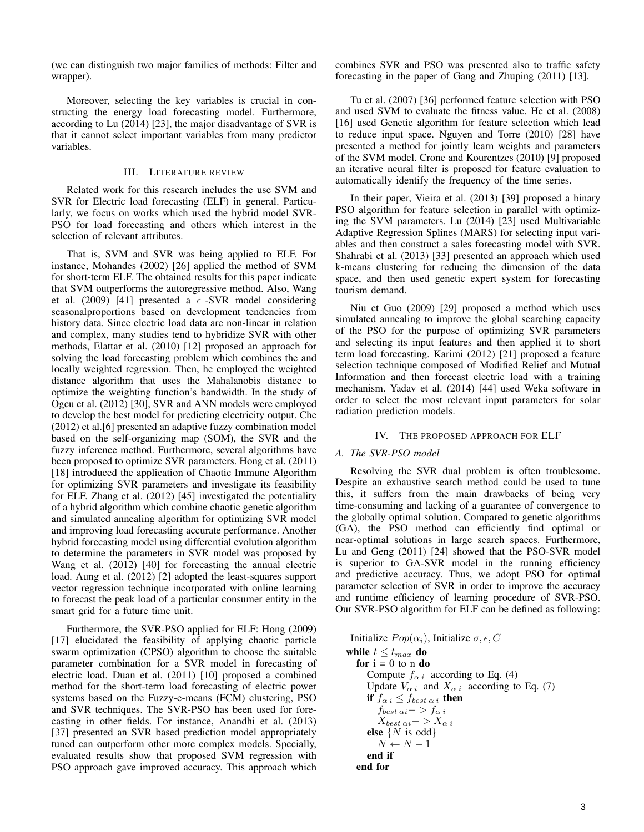(we can distinguish two major families of methods: Filter and wrapper).

Moreover, selecting the key variables is crucial in constructing the energy load forecasting model. Furthermore, according to Lu (2014) [23], the major disadvantage of SVR is that it cannot select important variables from many predictor variables.

## III. LITERATURE REVIEW

Related work for this research includes the use SVM and SVR for Electric load forecasting (ELF) in general. Particularly, we focus on works which used the hybrid model SVR-PSO for load forecasting and others which interest in the selection of relevant attributes.

That is, SVM and SVR was being applied to ELF. For instance, Mohandes (2002) [26] applied the method of SVM for short-term ELF. The obtained results for this paper indicate that SVM outperforms the autoregressive method. Also, Wang et al. (2009) [41] presented a  $\epsilon$  -SVR model considering seasonalproportions based on development tendencies from history data. Since electric load data are non-linear in relation and complex, many studies tend to hybridize SVR with other methods, Elattar et al. (2010) [12] proposed an approach for solving the load forecasting problem which combines the and locally weighted regression. Then, he employed the weighted distance algorithm that uses the Mahalanobis distance to optimize the weighting function's bandwidth. In the study of Ogcu et al. (2012) [30], SVR and ANN models were employed to develop the best model for predicting electricity output. Che (2012) et al.[6] presented an adaptive fuzzy combination model based on the self-organizing map (SOM), the SVR and the fuzzy inference method. Furthermore, several algorithms have been proposed to optimize SVR parameters. Hong et al. (2011) [18] introduced the application of Chaotic Immune Algorithm for optimizing SVR parameters and investigate its feasibility for ELF. Zhang et al. (2012) [45] investigated the potentiality of a hybrid algorithm which combine chaotic genetic algorithm and simulated annealing algorithm for optimizing SVR model and improving load forecasting accurate performance. Another hybrid forecasting model using differential evolution algorithm to determine the parameters in SVR model was proposed by Wang et al. (2012) [40] for forecasting the annual electric load. Aung et al. (2012) [2] adopted the least-squares support vector regression technique incorporated with online learning to forecast the peak load of a particular consumer entity in the smart grid for a future time unit.

Furthermore, the SVR-PSO applied for ELF: Hong (2009) [17] elucidated the feasibility of applying chaotic particle swarm optimization (CPSO) algorithm to choose the suitable parameter combination for a SVR model in forecasting of electric load. Duan et al. (2011) [10] proposed a combined method for the short-term load forecasting of electric power systems based on the Fuzzy-c-means (FCM) clustering, PSO and SVR techniques. The SVR-PSO has been used for forecasting in other fields. For instance, Anandhi et al. (2013) [37] presented an SVR based prediction model appropriately tuned can outperform other more complex models. Specially, evaluated results show that proposed SVM regression with PSO approach gave improved accuracy. This approach which combines SVR and PSO was presented also to traffic safety forecasting in the paper of Gang and Zhuping (2011) [13].

Tu et al. (2007) [36] performed feature selection with PSO and used SVM to evaluate the fitness value. He et al. (2008) [16] used Genetic algorithm for feature selection which lead to reduce input space. Nguyen and Torre (2010) [28] have presented a method for jointly learn weights and parameters of the SVM model. Crone and Kourentzes (2010) [9] proposed an iterative neural filter is proposed for feature evaluation to automatically identify the frequency of the time series.

In their paper, Vieira et al. (2013) [39] proposed a binary PSO algorithm for feature selection in parallel with optimizing the SVM parameters. Lu (2014) [23] used Multivariable Adaptive Regression Splines (MARS) for selecting input variables and then construct a sales forecasting model with SVR. Shahrabi et al. (2013) [33] presented an approach which used k-means clustering for reducing the dimension of the data space, and then used genetic expert system for forecasting tourism demand.

Niu et Guo (2009) [29] proposed a method which uses simulated annealing to improve the global searching capacity of the PSO for the purpose of optimizing SVR parameters and selecting its input features and then applied it to short term load forecasting. Karimi (2012) [21] proposed a feature selection technique composed of Modified Relief and Mutual Information and then forecast electric load with a training mechanism. Yadav et al. (2014) [44] used Weka software in order to select the most relevant input parameters for solar radiation prediction models.

## IV. THE PROPOSED APPROACH FOR ELF

## *A. The SVR-PSO model*

Resolving the SVR dual problem is often troublesome. Despite an exhaustive search method could be used to tune this, it suffers from the main drawbacks of being very time-consuming and lacking of a guarantee of convergence to the globally optimal solution. Compared to genetic algorithms (GA), the PSO method can efficiently find optimal or near-optimal solutions in large search spaces. Furthermore, Lu and Geng (2011) [24] showed that the PSO-SVR model is superior to GA-SVR model in the running efficiency and predictive accuracy. Thus, we adopt PSO for optimal parameter selection of SVR in order to improve the accuracy and runtime efficiency of learning procedure of SVR-PSO. Our SVR-PSO algorithm for ELF can be defined as following:

Initialize  $Pop(\alpha_i)$ , Initialize  $\sigma, \epsilon, C$ while  $t \leq t_{max}$  do for  $i = 0$  to n do Compute  $f_{\alpha i}$  according to Eq. (4) Update  $V_{\alpha i}$  and  $X_{\alpha i}$  according to Eq. (7) if  $f_{\alpha i} \leq f_{best \alpha i}$  then  $f_{best \; \alpha i}->f_{\alpha \; i}$  $X_{best \alpha i} - > X_{\alpha i}$ else  $\{N \text{ is odd}\}\$  $N \leftarrow N-1$ end if end for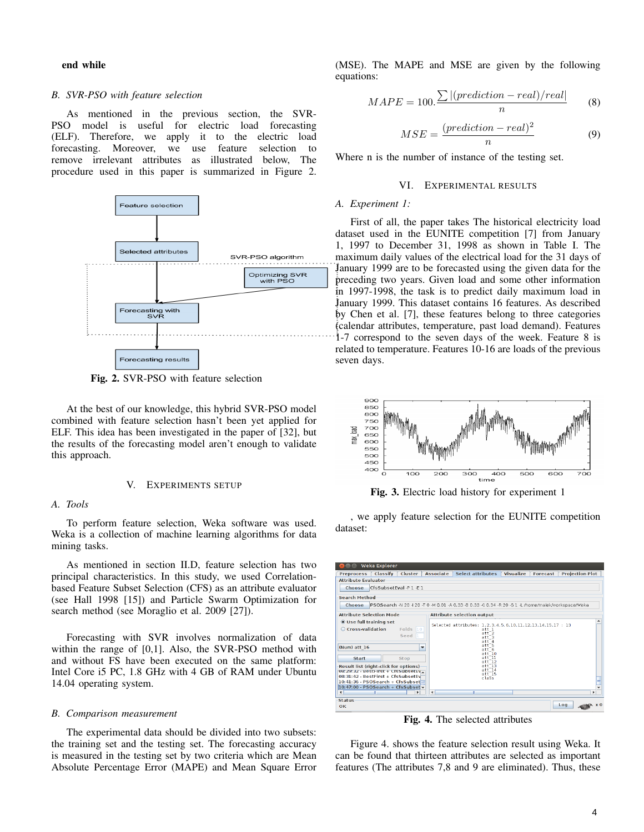end while

## *B. SVR-PSO with feature selection*

As mentioned in the previous section, the SVR-PSO model is useful for electric load forecasting (ELF). Therefore, we apply it to the electric load forecasting. Moreover, we use feature selection to remove irrelevant attributes as illustrated below, The procedure used in this paper is summarized in Figure 2.



Fig. 2. SVR-PSO with feature selection

At the best of our knowledge, this hybrid SVR-PSO model combined with feature selection hasn't been yet applied for ELF. This idea has been investigated in the paper of [32], but the results of the forecasting model aren't enough to validate this approach.

## V. EXPERIMENTS SETUP

### *A. Tools*

To perform feature selection, Weka software was used. Weka is a collection of machine learning algorithms for data mining tasks.

As mentioned in section II.D, feature selection has two principal characteristics. In this study, we used Correlationbased Feature Subset Selection (CFS) as an attribute evaluator (see Hall 1998 [15]) and Particle Swarm Optimization for search method (see Moraglio et al. 2009 [27]).

Forecasting with SVR involves normalization of data within the range of [0,1]. Also, the SVR-PSO method with and without FS have been executed on the same platform: Intel Core i5 PC, 1.8 GHz with 4 GB of RAM under Ubuntu 14.04 operating system.

#### *B. Comparison measurement*

The experimental data should be divided into two subsets: the training set and the testing set. The forecasting accuracy is measured in the testing set by two criteria which are Mean Absolute Percentage Error (MAPE) and Mean Square Error

(MSE). The MAPE and MSE are given by the following equations:

$$
MAPE = 100.\frac{\sum |(prediction - real)/real|}{n}
$$
 (8)

$$
MSE = \frac{(prediction - real)^2}{n}
$$
 (9)

Where n is the number of instance of the testing set.

#### VI. EXPERIMENTAL RESULTS

## *A. Experiment 1:*

First of all, the paper takes The historical electricity load dataset used in the EUNITE competition [7] from January 1, 1997 to December 31, 1998 as shown in Table I. The maximum daily values of the electrical load for the 31 days of January 1999 are to be forecasted using the given data for the preceding two years. Given load and some other information in 1997-1998, the task is to predict daily maximum load in January 1999. This dataset contains 16 features. As described by Chen et al. [7], these features belong to three categories (calendar attributes, temperature, past load demand). Features 1-7 correspond to the seven days of the week. Feature 8 is related to temperature. Features 10-16 are loads of the previous seven days.



Fig. 3. Electric load history for experiment 1

, we apply feature selection for the EUNITE competition dataset:

|                                                                                                                                                                                                                                                   | Weka Explorer           |                                          |                          |                                                                                                      |                                                                                                                                                      |                  |                 |     |                        |  |
|---------------------------------------------------------------------------------------------------------------------------------------------------------------------------------------------------------------------------------------------------|-------------------------|------------------------------------------|--------------------------|------------------------------------------------------------------------------------------------------|------------------------------------------------------------------------------------------------------------------------------------------------------|------------------|-----------------|-----|------------------------|--|
| <b>Preprocess</b>                                                                                                                                                                                                                                 | Classify                | Cluster                                  | <b>Associate</b>         | <b>Select attributes</b>                                                                             |                                                                                                                                                      | <b>Visualize</b> | <b>Forecast</b> |     | <b>Projection Plot</b> |  |
| <b>Attribute Evaluator</b>                                                                                                                                                                                                                        |                         |                                          |                          |                                                                                                      |                                                                                                                                                      |                  |                 |     |                        |  |
| Choose                                                                                                                                                                                                                                            | CfsSubsetEval -P 1 -E 1 |                                          |                          |                                                                                                      |                                                                                                                                                      |                  |                 |     |                        |  |
| <b>Search Method</b>                                                                                                                                                                                                                              |                         |                                          |                          |                                                                                                      |                                                                                                                                                      |                  |                 |     |                        |  |
| Choose                                                                                                                                                                                                                                            |                         |                                          |                          | IPSOSearch -N 20 -I 20 -T 0 -M 0.01 -A 0.33 -B 0.33 -C 0.34 -R 20 -S 1 -L /home/malek/workspace/Weka |                                                                                                                                                      |                  |                 |     |                        |  |
| <b>Attribute Selection Mode</b>                                                                                                                                                                                                                   |                         |                                          |                          | <b>Attribute selection output</b>                                                                    |                                                                                                                                                      |                  |                 |     |                        |  |
| <b>O</b> Use full training set<br>Cross-validation<br>(Num) att 16<br>Start<br><b>Result list (right-click for options)</b><br>U8: 29:32 - BestFirst + LTSSUDSetEV.<br>08:31:42 - BestFirst + CfsSubsetFv<br>$10:41:36 - PSOSearch + CfsSubset =$ |                         | Folds<br>10<br>Seed <sub>1</sub><br>Stop | $\overline{\phantom{a}}$ | Selected attributes: 1.2.3.4.5.6.10.11.12.13.14.15.17: 13                                            | att 1<br>$att^-2$<br>$att^-3$<br>$att$ <sup>4</sup><br>$att$ <sup>5</sup><br>att6<br>at10<br>at11<br>$at+72$<br>at13<br>at1714<br>$att^-15$<br>class |                  |                 |     |                        |  |
| $10:47:00 - PSOSearch + CfsSubset -$<br>$\overline{\phantom{0}}$                                                                                                                                                                                  | m                       | ۰                                        | $\blacktriangleleft$     | m                                                                                                    |                                                                                                                                                      |                  |                 |     | -<br>$\mathbf{r}$      |  |
| <b>Status</b><br>OK                                                                                                                                                                                                                               |                         |                                          |                          |                                                                                                      |                                                                                                                                                      |                  |                 | Log |                        |  |

Fig. 4. The selected attributes

Figure 4. shows the feature selection result using Weka. It can be found that thirteen attributes are selected as important features (The attributes 7,8 and 9 are eliminated). Thus, these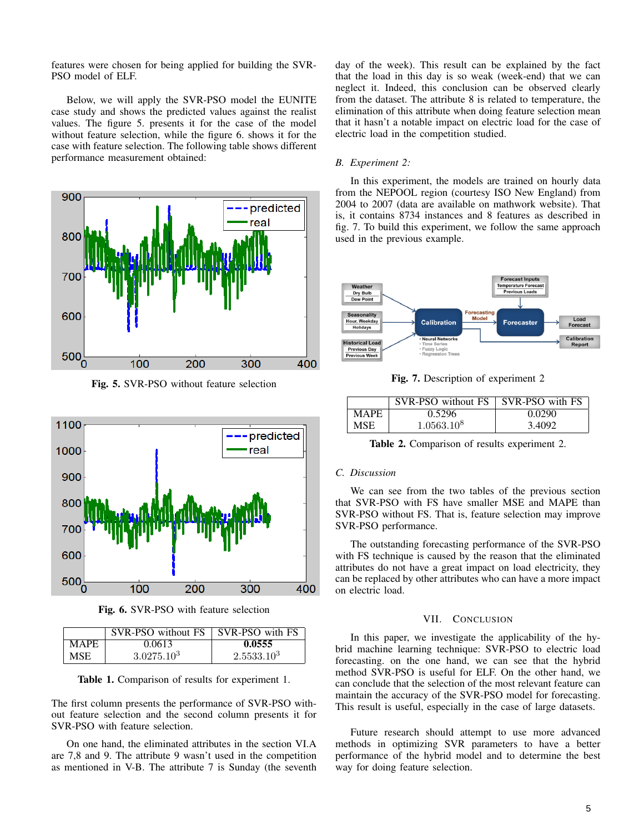features were chosen for being applied for building the SVR-PSO model of ELF.

Below, we will apply the SVR-PSO model the EUNITE case study and shows the predicted values against the realist values. The figure 5. presents it for the case of the model without feature selection, while the figure 6. shows it for the case with feature selection. The following table shows different performance measurement obtained:



Fig. 5. SVR-PSO without feature selection



Fig. 6. SVR-PSO with feature selection

|             | SVR-PSO without FS SVR-PSO with FS |                 |
|-------------|------------------------------------|-----------------|
| <b>MAPE</b> | 0.0613                             | 0.0555          |
| <b>MSE</b>  | 3.0275.10 <sup>3</sup>             | $2.5533.10^{3}$ |

Table 1. Comparison of results for experiment 1.

The first column presents the performance of SVR-PSO without feature selection and the second column presents it for SVR-PSO with feature selection.

On one hand, the eliminated attributes in the section VI.A are 7,8 and 9. The attribute 9 wasn't used in the competition as mentioned in V-B. The attribute 7 is Sunday (the seventh day of the week). This result can be explained by the fact that the load in this day is so weak (week-end) that we can neglect it. Indeed, this conclusion can be observed clearly from the dataset. The attribute 8 is related to temperature, the elimination of this attribute when doing feature selection mean that it hasn't a notable impact on electric load for the case of electric load in the competition studied.

## *B. Experiment 2:*

In this experiment, the models are trained on hourly data from the NEPOOL region (courtesy ISO New England) from 2004 to 2007 (data are available on mathwork website). That is, it contains 8734 instances and 8 features as described in fig. 7. To build this experiment, we follow the same approach used in the previous example.



Fig. 7. Description of experiment 2

|             | SVR-PSO without FS   SVR-PSO with FS |        |
|-------------|--------------------------------------|--------|
| <b>MAPE</b> | 0.5296                               | 0.0290 |
| <b>MSE</b>  | 1.0563.10 <sup>8</sup>               | 3.4092 |

Table 2. Comparison of results experiment 2.

## *C. Discussion*

We can see from the two tables of the previous section that SVR-PSO with FS have smaller MSE and MAPE than SVR-PSO without FS. That is, feature selection may improve SVR-PSO performance.

The outstanding forecasting performance of the SVR-PSO with FS technique is caused by the reason that the eliminated attributes do not have a great impact on load electricity, they can be replaced by other attributes who can have a more impact on electric load.

# VII. CONCLUSION

In this paper, we investigate the applicability of the hybrid machine learning technique: SVR-PSO to electric load forecasting. on the one hand, we can see that the hybrid method SVR-PSO is useful for ELF. On the other hand, we can conclude that the selection of the most relevant feature can maintain the accuracy of the SVR-PSO model for forecasting. This result is useful, especially in the case of large datasets.

Future research should attempt to use more advanced methods in optimizing SVR parameters to have a better performance of the hybrid model and to determine the best way for doing feature selection.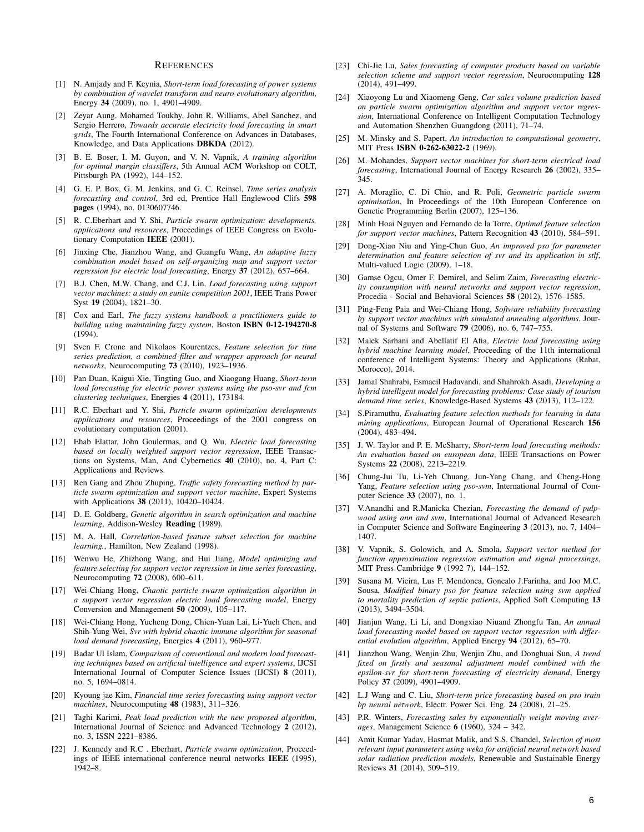#### **REFERENCES**

- [1] N. Amjady and F. Keynia, *Short-term load forecasting of power systems by combination of wavelet transform and neuro-evolutionary algorithm*, Energy 34 (2009), no. 1, 4901–4909.
- [2] Zeyar Aung, Mohamed Toukhy, John R. Williams, Abel Sanchez, and Sergio Herrero, *Towards accurate electricity load forecasting in smart grids*, The Fourth International Conference on Advances in Databases, Knowledge, and Data Applications DBKDA (2012).
- [3] B. E. Boser, I. M. Guyon, and V. N. Vapnik, *A training algorithm for optimal margin classiffers*, 5th Annual ACM Workshop on COLT, Pittsburgh PA (1992), 144–152.
- [4] G. E. P. Box, G. M. Jenkins, and G. C. Reinsel, *Time series analysis forecasting and control*, 3rd ed, Prentice Hall Englewood Clifs 598 pages (1994), no. 0130607746.
- [5] R. C.Eberhart and Y. Shi, *Particle swarm optimization: developments, applications and resources*, Proceedings of IEEE Congress on Evolutionary Computation IEEE (2001).
- [6] Jinxing Che, Jianzhou Wang, and Guangfu Wang, *An adaptive fuzzy combination model based on self-organizing map and support vector regression for electric load forecasting*, Energy 37 (2012), 657–664.
- [7] B.J. Chen, M.W. Chang, and C.J. Lin, *Load forecasting using support vector machines: a study on eunite competition 2001*, IEEE Trans Power Syst 19 (2004), 1821–30.
- [8] Cox and Earl, *The fuzzy systems handbook a practitioners guide to building using maintaining fuzzy system*, Boston ISBN 0-12-194270-8 (1994).
- [9] Sven F. Crone and Nikolaos Kourentzes, *Feature selection for time series prediction, a combined filter and wrapper approach for neural networks*, Neurocomputing 73 (2010), 1923–1936.
- [10] Pan Duan, Kaigui Xie, Tingting Guo, and Xiaogang Huang, *Short-term load forecasting for electric power systems using the pso-svr and fcm clustering techniques*, Energies 4 (2011), 173184.
- [11] R.C. Eberhart and Y. Shi, *Particle swarm optimization developments applications and resources*, Proceedings of the 2001 congress on evolutionary computation (2001).
- [12] Ehab Elattar, John Goulermas, and Q. Wu, *Electric load forecasting based on locally weighted support vector regression*, IEEE Transactions on Systems, Man, And Cybernetics 40 (2010), no. 4, Part C: Applications and Reviews.
- [13] Ren Gang and Zhou Zhuping, *Traffic safety forecasting method by particle swarm optimization and support vector machine*, Expert Systems with Applications 38 (2011), 10420-10424.
- [14] D. E. Goldberg, *Genetic algorithm in search optimization and machine learning*, Addison-Wesley Reading (1989).
- [15] M. A. Hall, *Correlation-based feature subset selection for machine learning.*, Hamilton, New Zealand (1998).
- [16] Wenwu He, Zhizhong Wang, and Hui Jiang, *Model optimizing and feature selecting for support vector regression in time series forecasting*, Neurocomputing 72 (2008), 600–611.
- [17] Wei-Chiang Hong, *Chaotic particle swarm optimization algorithm in a support vector regression electric load forecasting model*, Energy Conversion and Management 50 (2009), 105–117.
- [18] Wei-Chiang Hong, Yucheng Dong, Chien-Yuan Lai, Li-Yueh Chen, and Shih-Yung Wei, *Svr with hybrid chaotic immune algorithm for seasonal load demand forecasting*, Energies 4 (2011), 960–977.
- [19] Badar Ul Islam, *Comparison of conventional and modern load forecasting techniques based on artificial intelligence and expert systems*, IJCSI International Journal of Computer Science Issues (IJCSI) 8 (2011), no. 5, 1694–0814.
- [20] Kyoung jae Kim, *Financial time series forecasting using support vector machines*, Neurocomputing 48 (1983), 311–326.
- [21] Taghi Karimi, *Peak load prediction with the new proposed algorithm*, International Journal of Science and Advanced Technology 2 (2012), no. 3, ISSN 2221–8386.
- [22] J. Kennedy and R.C . Eberhart, *Particle swarm optimization*, Proceedings of IEEE international conference neural networks IEEE (1995), 1942–8.
- [23] Chi-Jie Lu, *Sales forecasting of computer products based on variable selection scheme and support vector regression*, Neurocomputing 128 (2014), 491–499.
- [24] Xiaoyong Lu and Xiaomeng Geng, *Car sales volume prediction based on particle swarm optimization algorithm and support vector regression*, International Conference on Intelligent Computation Technology and Automation Shenzhen Guangdong (2011), 71–74.
- [25] M. Minsky and S. Papert, *An introduction to computational geometry*, MIT Press ISBN 0-262-63022-2 (1969).
- [26] M. Mohandes, *Support vector machines for short-term electrical load forecasting*, International Journal of Energy Research 26 (2002), 335– 345.
- [27] A. Moraglio, C. Di Chio, and R. Poli, *Geometric particle swarm optimisation*, In Proceedings of the 10th European Conference on Genetic Programming Berlin (2007), 125–136.
- [28] Minh Hoai Nguyen and Fernando de la Torre, *Optimal feature selection for support vector machines*, Pattern Recognition 43 (2010), 584–591.
- [29] Dong-Xiao Niu and Ying-Chun Guo, *An improved pso for parameter determination and feature selection of svr and its application in stlf*, Multi-valued Logic (2009), 1–18.
- [30] Gamse Ogcu, Omer F. Demirel, and Selim Zaim, *Forecasting electricity consumption with neural networks and support vector regression*, Procedia - Social and Behavioral Sciences 58 (2012), 1576–1585.
- [31] Ping-Feng Paia and Wei-Chiang Hong, *Software reliability forecasting by support vector machines with simulated annealing algorithms*, Journal of Systems and Software 79 (2006), no. 6, 747–755.
- [32] Malek Sarhani and Abellatif El Afia, *Electric load forecasting using hybrid machine learning model*, Proceeding of the 11th international conference of Intelligent Systems: Theory and Applications (Rabat, Morocco), 2014.
- [33] Jamal Shahrabi, Esmaeil Hadavandi, and Shahrokh Asadi, *Developing a hybrid intelligent model for forecasting problems: Case study of tourism demand time series*, Knowledge-Based Systems 43 (2013), 112–122.
- [34] S.Piramuthu, *Evaluating feature selection methods for learning in data mining applications*, European Journal of Operational Research 156 (2004), 483–494.
- [35] J. W. Taylor and P. E. McSharry, *Short-term load forecasting methods: An evaluation based on european data*, IEEE Transactions on Power Systems 22 (2008), 2213–2219.
- [36] Chung-Jui Tu, Li-Yeh Chuang, Jun-Yang Chang, and Cheng-Hong Yang, *Feature selection using pso-svm*, International Journal of Computer Science 33 (2007), no. 1.
- [37] V.Anandhi and R.Manicka Chezian, *Forecasting the demand of pulpwood using ann and svm*, International Journal of Advanced Research in Computer Science and Software Engineering 3 (2013), no. 7, 1404– 1407.
- [38] V. Vapnik, S. Golowich, and A. Smola, *Support vector method for function approximation regression estimation and signal processings*, MIT Press Cambridge 9 (1992 7), 144–152.
- [39] Susana M. Vieira, Lus F. Mendonca, Goncalo J.Farinha, and Joo M.C. Sousa, *Modified binary pso for feature selection using svm applied to mortality prediction of septic patients*, Applied Soft Computing 13 (2013), 3494–3504.
- [40] Jianjun Wang, Li Li, and Dongxiao Niuand Zhongfu Tan, *An annual load forecasting model based on support vector regression with differential evolution algorithm*, Applied Energy 94 (2012), 65–70.
- [41] Jianzhou Wang, Wenjin Zhu, Wenjin Zhu, and Donghuai Sun, *A trend fixed on firstly and seasonal adjustment model combined with the epsilon-svr for short-term forecasting of electricity demand*, Energy Policy 37 (2009), 4901–4909.
- [42] L.J Wang and C. Liu, *Short-term price forecasting based on pso train bp neural network*, Electr. Power Sci. Eng. 24 (2008), 21–25.
- [43] P.R. Winters, *Forecasting sales by exponentially weight moving averages*, Management Science 6 (1960), 324 – 342.
- [44] Amit Kumar Yadav, Hasmat Malik, and S.S. Chandel, *Selection of most relevant input parameters using weka for artificial neural network based solar radiation prediction models*, Renewable and Sustainable Energy Reviews 31 (2014), 509–519.